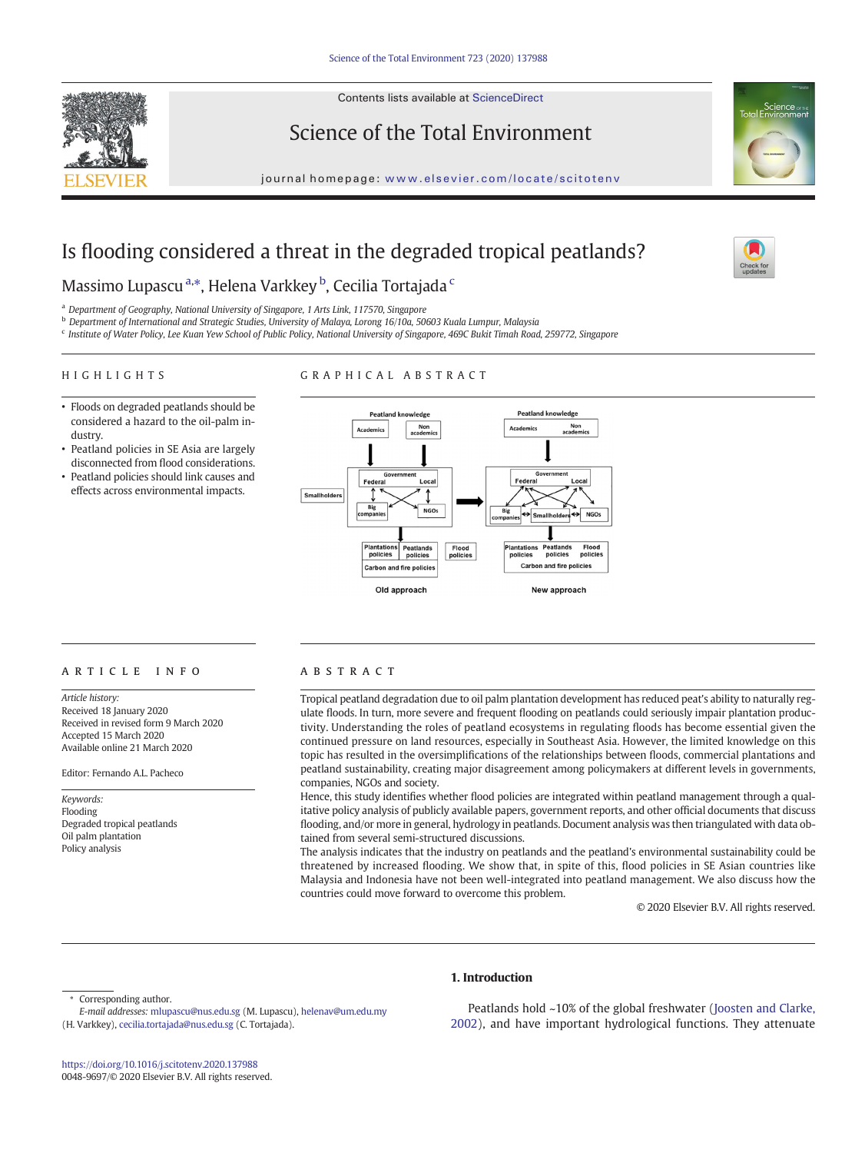

Contents lists available at ScienceDirect

# Science of the Total Environment



journal homepage: <www.elsevier.com/locate/scitotenv>

# Is flooding considered a threat in the degraded tropical peatlands?



# Massimo Lupascu <sup>a,</sup>\*, Helena Varkkey <sup>b</sup>, Cecilia Tortajada <sup>c</sup>

<sup>a</sup> Department of Geography, National University of Singapore, 1 Arts Link, 117570, Singapore

<sup>b</sup> Department of International and Strategic Studies, University of Malaya, Lorong 16/10a, 50603 Kuala Lumpur, Malaysia

<sup>c</sup> Institute of Water Policy, Lee Kuan Yew School of Public Policy, National University of Singapore, 469C Bukit Timah Road, 259772, Singapore

### HIGHLIGHTS

# GRAPHICAL ABSTRACT

- Floods on degraded peatlands should be considered a hazard to the oil-palm industry.
- Peatland policies in SE Asia are largely disconnected from flood considerations.
- Peatland policies should link causes and effects across environmental impacts.



# article info abstract

Article history: Received 18 January 2020 Received in revised form 9 March 2020 Accepted 15 March 2020 Available online 21 March 2020

Editor: Fernando A.L. Pacheco

Keywords: Flooding Degraded tropical peatlands Oil palm plantation Policy analysis

Tropical peatland degradation due to oil palm plantation development has reduced peat's ability to naturally regulate floods. In turn, more severe and frequent flooding on peatlands could seriously impair plantation productivity. Understanding the roles of peatland ecosystems in regulating floods has become essential given the continued pressure on land resources, especially in Southeast Asia. However, the limited knowledge on this topic has resulted in the oversimplifications of the relationships between floods, commercial plantations and peatland sustainability, creating major disagreement among policymakers at different levels in governments, companies, NGOs and society.

Hence, this study identifies whether flood policies are integrated within peatland management through a qualitative policy analysis of publicly available papers, government reports, and other official documents that discuss flooding, and/or more in general, hydrology in peatlands. Document analysis was then triangulated with data obtained from several semi-structured discussions.

The analysis indicates that the industry on peatlands and the peatland's environmental sustainability could be threatened by increased flooding. We show that, in spite of this, flood policies in SE Asian countries like Malaysia and Indonesia have not been well-integrated into peatland management. We also discuss how the countries could move forward to overcome this problem.

© 2020 Elsevier B.V. All rights reserved.

Corresponding author.

(H. Varkkey), [cecilia.tortajada@nus.edu.sg](mailto:cecilia.tortajada@nus.edu.sg) (C. Tortajada).

# 1. Introduction

Peatlands hold ~10% of the global freshwater ([Joosten and Clarke,](#page-8-0) [2002\)](#page-8-0), and have important hydrological functions. They attenuate

E-mail addresses: [mlupascu@nus.edu.sg](mailto:mlupascu@nus.edu.sg) (M. Lupascu), [helenav@um.edu.my](mailto:helenav@um.edu.my)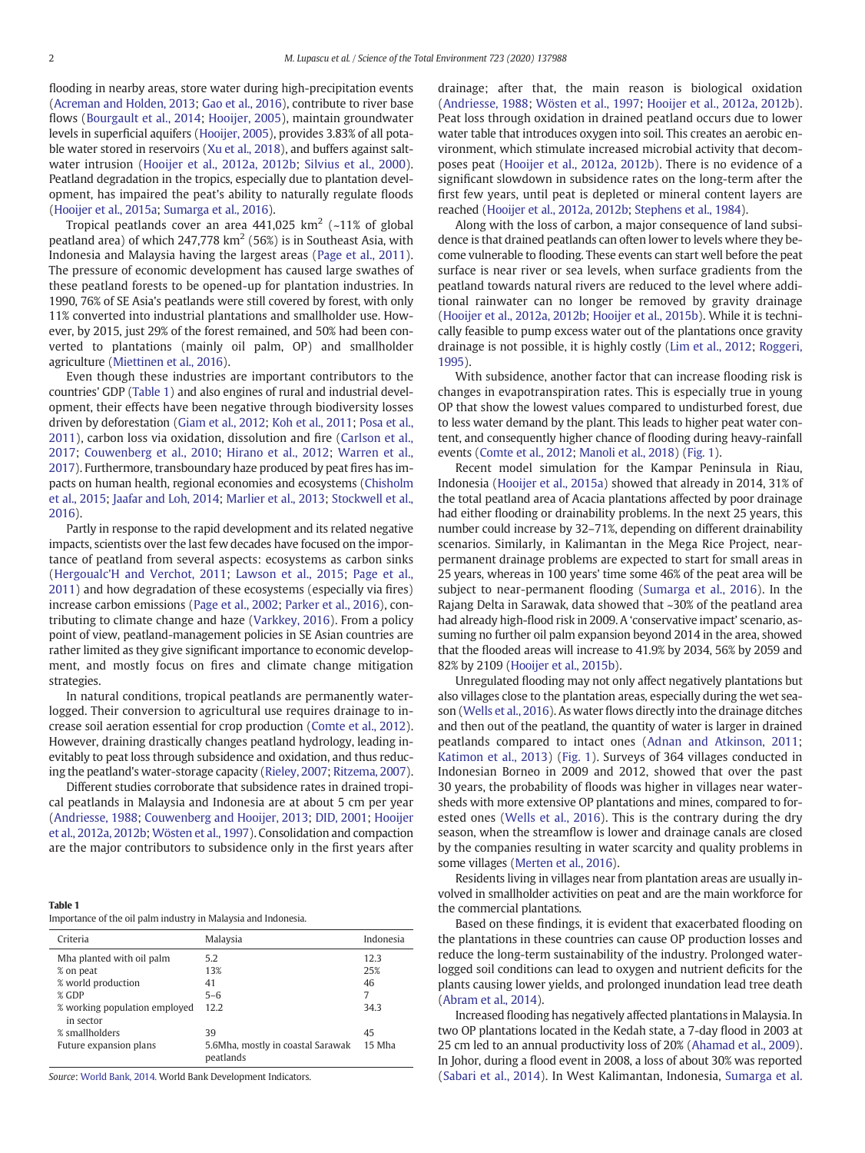flooding in nearby areas, store water during high-precipitation events [\(Acreman and Holden, 2013](#page-7-0); [Gao et al., 2016](#page-8-0)), contribute to river base flows ([Bourgault et al., 2014;](#page-7-0) [Hooijer, 2005\)](#page-8-0), maintain groundwater levels in superficial aquifers [\(Hooijer, 2005\)](#page-8-0), provides 3.83% of all potable water stored in reservoirs ([Xu et al., 2018\)](#page-9-0), and buffers against saltwater intrusion ([Hooijer et al., 2012a, 2012b;](#page-8-0) [Silvius et al., 2000](#page-8-0)). Peatland degradation in the tropics, especially due to plantation development, has impaired the peat's ability to naturally regulate floods [\(Hooijer et al., 2015a](#page-8-0); [Sumarga et al., 2016\)](#page-9-0).

Tropical peatlands cover an area  $441,025$  km<sup>2</sup> (~11% of global peatland area) of which  $247,778 \text{ km}^2$  (56%) is in Southeast Asia, with Indonesia and Malaysia having the largest areas ([Page et al., 2011](#page-8-0)). The pressure of economic development has caused large swathes of these peatland forests to be opened-up for plantation industries. In 1990, 76% of SE Asia's peatlands were still covered by forest, with only 11% converted into industrial plantations and smallholder use. However, by 2015, just 29% of the forest remained, and 50% had been converted to plantations (mainly oil palm, OP) and smallholder agriculture ([Miettinen et al., 2016](#page-8-0)).

Even though these industries are important contributors to the countries' GDP (Table 1) and also engines of rural and industrial development, their effects have been negative through biodiversity losses driven by deforestation ([Giam et al., 2012;](#page-8-0) [Koh et al., 2011;](#page-8-0) [Posa et al.,](#page-8-0) [2011](#page-8-0)), carbon loss via oxidation, dissolution and fire ([Carlson et al.,](#page-7-0) [2017](#page-7-0); [Couwenberg et al., 2010](#page-8-0); [Hirano et al., 2012;](#page-8-0) [Warren et al.,](#page-9-0) [2017\)](#page-9-0). Furthermore, transboundary haze produced by peat fires has impacts on human health, regional economies and ecosystems [\(Chisholm](#page-7-0) [et al., 2015](#page-7-0); [Jaafar and Loh, 2014](#page-8-0); [Marlier et al., 2013;](#page-8-0) [Stockwell et al.,](#page-8-0) [2016\)](#page-8-0).

Partly in response to the rapid development and its related negative impacts, scientists over the last few decades have focused on the importance of peatland from several aspects: ecosystems as carbon sinks [\(Hergoualc'H and Verchot, 2011](#page-8-0); [Lawson et al., 2015;](#page-8-0) [Page et al.,](#page-8-0) [2011\)](#page-8-0) and how degradation of these ecosystems (especially via fires) increase carbon emissions [\(Page et al., 2002;](#page-8-0) [Parker et al., 2016](#page-8-0)), contributing to climate change and haze ([Varkkey, 2016](#page-9-0)). From a policy point of view, peatland-management policies in SE Asian countries are rather limited as they give significant importance to economic development, and mostly focus on fires and climate change mitigation strategies.

In natural conditions, tropical peatlands are permanently waterlogged. Their conversion to agricultural use requires drainage to increase soil aeration essential for crop production ([Comte et al., 2012](#page-7-0)). However, draining drastically changes peatland hydrology, leading inevitably to peat loss through subsidence and oxidation, and thus reducing the peatland's water-storage capacity ([Rieley, 2007](#page-8-0); [Ritzema, 2007\)](#page-8-0).

Different studies corroborate that subsidence rates in drained tropical peatlands in Malaysia and Indonesia are at about 5 cm per year [\(Andriesse, 1988;](#page-7-0) [Couwenberg and Hooijer, 2013](#page-7-0); [DID, 2001](#page-8-0); [Hooijer](#page-8-0) [et al., 2012a, 2012b;](#page-8-0) [Wösten et al., 1997](#page-9-0)). Consolidation and compaction are the major contributors to subsidence only in the first years after

Importance of the oil palm industry in Malaysia and Indonesia.

| Criteria                                   | Malaysia                                       | Indonesia |
|--------------------------------------------|------------------------------------------------|-----------|
| Mha planted with oil palm                  | 5.2                                            | 12.3      |
| % on peat                                  | 13%                                            | 25%       |
| % world production                         | 41                                             | 46        |
| $%$ GDP                                    | $5 - 6$                                        | 7         |
| % working population employed<br>in sector | 12.2                                           | 34.3      |
| % smallholders                             | 39                                             | 45        |
| Future expansion plans                     | 5.6Mha, mostly in coastal Sarawak<br>peatlands | 15 Mha    |

Source: [World Bank, 2014.](#page-9-0) World Bank Development Indicators.

drainage; after that, the main reason is biological oxidation [\(Andriesse, 1988](#page-7-0); [Wösten et al., 1997;](#page-9-0) [Hooijer et al., 2012a, 2012b](#page-8-0)). Peat loss through oxidation in drained peatland occurs due to lower water table that introduces oxygen into soil. This creates an aerobic environment, which stimulate increased microbial activity that decomposes peat [\(Hooijer et al., 2012a, 2012b\)](#page-8-0). There is no evidence of a significant slowdown in subsidence rates on the long-term after the first few years, until peat is depleted or mineral content layers are reached [\(Hooijer et al., 2012a, 2012b](#page-8-0); [Stephens et al., 1984](#page-8-0)).

Along with the loss of carbon, a major consequence of land subsidence is that drained peatlands can often lower to levels where they become vulnerable to flooding. These events can start well before the peat surface is near river or sea levels, when surface gradients from the peatland towards natural rivers are reduced to the level where additional rainwater can no longer be removed by gravity drainage [\(Hooijer et al., 2012a, 2012b;](#page-8-0) [Hooijer et al., 2015b\)](#page-8-0). While it is technically feasible to pump excess water out of the plantations once gravity drainage is not possible, it is highly costly ([Lim et al., 2012;](#page-8-0) [Roggeri,](#page-8-0) [1995\)](#page-8-0).

With subsidence, another factor that can increase flooding risk is changes in evapotranspiration rates. This is especially true in young OP that show the lowest values compared to undisturbed forest, due to less water demand by the plant. This leads to higher peat water content, and consequently higher chance of flooding during heavy-rainfall events [\(Comte et al., 2012](#page-7-0); [Manoli et al., 2018](#page-8-0)) [\(Fig. 1](#page-2-0)).

Recent model simulation for the Kampar Peninsula in Riau, Indonesia ([Hooijer et al., 2015a\)](#page-8-0) showed that already in 2014, 31% of the total peatland area of Acacia plantations affected by poor drainage had either flooding or drainability problems. In the next 25 years, this number could increase by 32–71%, depending on different drainability scenarios. Similarly, in Kalimantan in the Mega Rice Project, nearpermanent drainage problems are expected to start for small areas in 25 years, whereas in 100 years' time some 46% of the peat area will be subject to near-permanent flooding [\(Sumarga et al., 2016](#page-9-0)). In the Rajang Delta in Sarawak, data showed that ~30% of the peatland area had already high-flood risk in 2009. A 'conservative impact' scenario, assuming no further oil palm expansion beyond 2014 in the area, showed that the flooded areas will increase to 41.9% by 2034, 56% by 2059 and 82% by 2109 ([Hooijer et al., 2015b](#page-8-0)).

Unregulated flooding may not only affect negatively plantations but also villages close to the plantation areas, especially during the wet season [\(Wells et al., 2016](#page-9-0)). As water flows directly into the drainage ditches and then out of the peatland, the quantity of water is larger in drained peatlands compared to intact ones ([Adnan and Atkinson, 2011](#page-7-0); [Katimon et al., 2013](#page-8-0)) [\(Fig. 1](#page-2-0)). Surveys of 364 villages conducted in Indonesian Borneo in 2009 and 2012, showed that over the past 30 years, the probability of floods was higher in villages near watersheds with more extensive OP plantations and mines, compared to forested ones ([Wells et al., 2016\)](#page-9-0). This is the contrary during the dry season, when the streamflow is lower and drainage canals are closed by the companies resulting in water scarcity and quality problems in some villages ([Merten et al., 2016\)](#page-8-0).

Residents living in villages near from plantation areas are usually involved in smallholder activities on peat and are the main workforce for the commercial plantations.

Based on these findings, it is evident that exacerbated flooding on the plantations in these countries can cause OP production losses and reduce the long-term sustainability of the industry. Prolonged waterlogged soil conditions can lead to oxygen and nutrient deficits for the plants causing lower yields, and prolonged inundation lead tree death [\(Abram et al., 2014\)](#page-7-0).

Increased flooding has negatively affected plantations in Malaysia. In two OP plantations located in the Kedah state, a 7-day flood in 2003 at 25 cm led to an annual productivity loss of 20% ([Ahamad et al., 2009](#page-7-0)). In Johor, during a flood event in 2008, a loss of about 30% was reported [\(Sabari et al., 2014](#page-8-0)). In West Kalimantan, Indonesia, [Sumarga et al.](#page-9-0)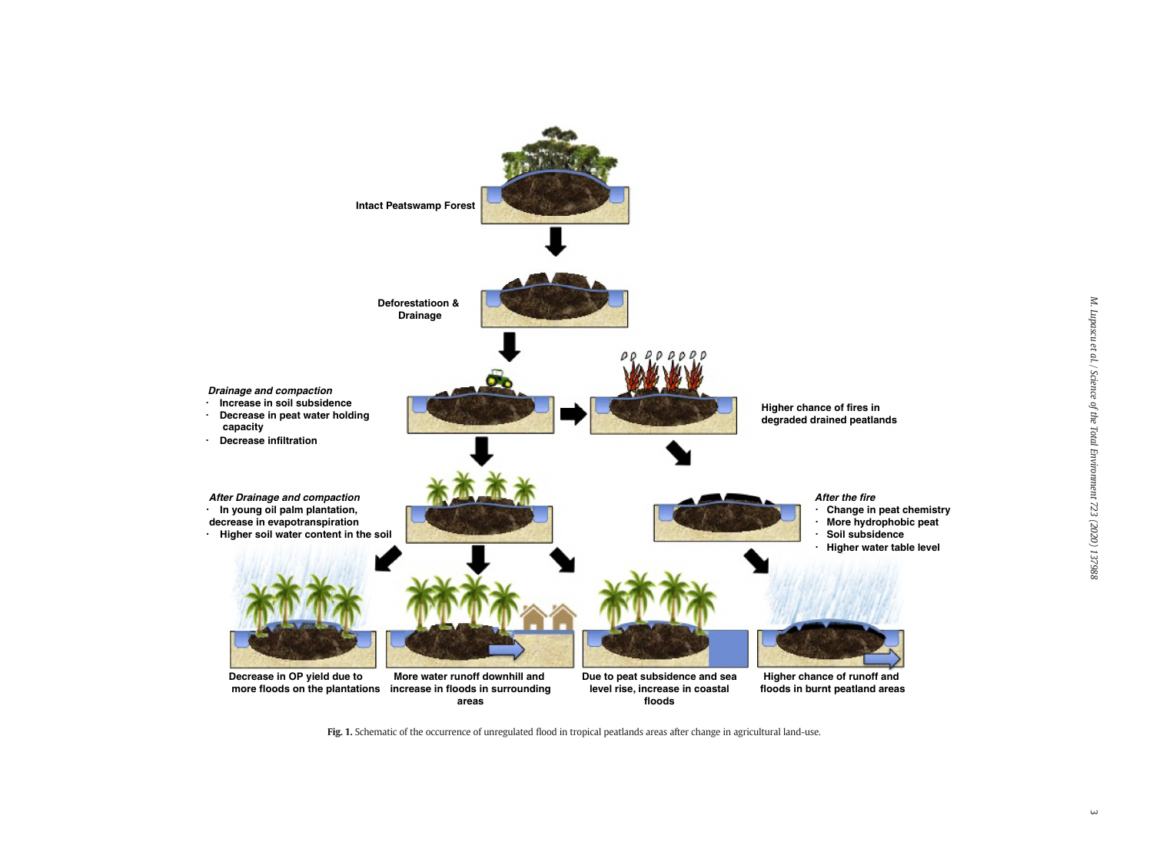<span id="page-2-0"></span>

Fig. 1. Schematic of the occurrence of unregulated flood in tropical peatlands areas after change in agricultural land-use.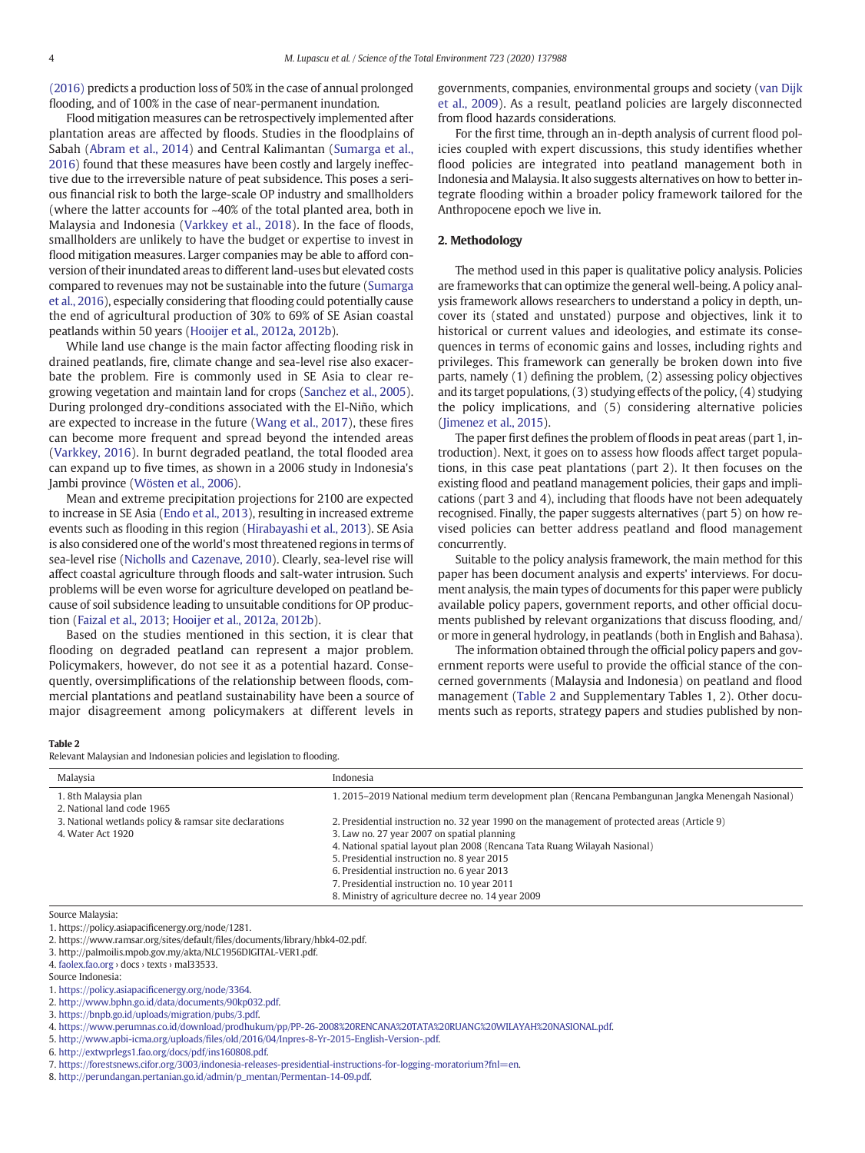<span id="page-3-0"></span>[\(2016\)](#page-9-0) predicts a production loss of 50% in the case of annual prolonged flooding, and of 100% in the case of near-permanent inundation.

Flood mitigation measures can be retrospectively implemented after plantation areas are affected by floods. Studies in the floodplains of Sabah ([Abram et al., 2014\)](#page-7-0) and Central Kalimantan ([Sumarga et al.,](#page-9-0) [2016\)](#page-9-0) found that these measures have been costly and largely ineffective due to the irreversible nature of peat subsidence. This poses a serious financial risk to both the large-scale OP industry and smallholders (where the latter accounts for ~40% of the total planted area, both in Malaysia and Indonesia [\(Varkkey et al., 2018\)](#page-9-0). In the face of floods, smallholders are unlikely to have the budget or expertise to invest in flood mitigation measures. Larger companies may be able to afford conversion of their inundated areas to different land-uses but elevated costs compared to revenues may not be sustainable into the future ([Sumarga](#page-9-0) [et al., 2016](#page-9-0)), especially considering that flooding could potentially cause the end of agricultural production of 30% to 69% of SE Asian coastal peatlands within 50 years [\(Hooijer et al., 2012a, 2012b](#page-8-0)).

While land use change is the main factor affecting flooding risk in drained peatlands, fire, climate change and sea-level rise also exacerbate the problem. Fire is commonly used in SE Asia to clear regrowing vegetation and maintain land for crops ([Sanchez et al., 2005\)](#page-8-0). During prolonged dry-conditions associated with the El-Niño, which are expected to increase in the future [\(Wang et al., 2017\)](#page-9-0), these fires can become more frequent and spread beyond the intended areas [\(Varkkey, 2016](#page-9-0)). In burnt degraded peatland, the total flooded area can expand up to five times, as shown in a 2006 study in Indonesia's Jambi province ([Wösten et al., 2006\)](#page-9-0).

Mean and extreme precipitation projections for 2100 are expected to increase in SE Asia ([Endo et al., 2013\)](#page-8-0), resulting in increased extreme events such as flooding in this region [\(Hirabayashi et al., 2013](#page-8-0)). SE Asia is also considered one of the world's most threatened regions in terms of sea-level rise ([Nicholls and Cazenave, 2010](#page-8-0)). Clearly, sea-level rise will affect coastal agriculture through floods and salt-water intrusion. Such problems will be even worse for agriculture developed on peatland because of soil subsidence leading to unsuitable conditions for OP production [\(Faizal et al., 2013](#page-8-0); [Hooijer et al., 2012a, 2012b\)](#page-8-0).

Based on the studies mentioned in this section, it is clear that flooding on degraded peatland can represent a major problem. Policymakers, however, do not see it as a potential hazard. Consequently, oversimplifications of the relationship between floods, commercial plantations and peatland sustainability have been a source of major disagreement among policymakers at different levels in

governments, companies, environmental groups and society [\(van Dijk](#page-9-0) [et al., 2009](#page-9-0)). As a result, peatland policies are largely disconnected from flood hazards considerations.

For the first time, through an in-depth analysis of current flood policies coupled with expert discussions, this study identifies whether flood policies are integrated into peatland management both in Indonesia and Malaysia. It also suggests alternatives on how to better integrate flooding within a broader policy framework tailored for the Anthropocene epoch we live in.

#### 2. Methodology

The method used in this paper is qualitative policy analysis. Policies are frameworks that can optimize the general well-being. A policy analysis framework allows researchers to understand a policy in depth, uncover its (stated and unstated) purpose and objectives, link it to historical or current values and ideologies, and estimate its consequences in terms of economic gains and losses, including rights and privileges. This framework can generally be broken down into five parts, namely (1) defining the problem, (2) assessing policy objectives and its target populations, (3) studying effects of the policy, (4) studying the policy implications, and (5) considering alternative policies [\(Jimenez et al., 2015](#page-8-0)).

The paper first defines the problem of floods in peat areas (part 1, introduction). Next, it goes on to assess how floods affect target populations, in this case peat plantations (part 2). It then focuses on the existing flood and peatland management policies, their gaps and implications (part 3 and 4), including that floods have not been adequately recognised. Finally, the paper suggests alternatives (part 5) on how revised policies can better address peatland and flood management concurrently.

Suitable to the policy analysis framework, the main method for this paper has been document analysis and experts' interviews. For document analysis, the main types of documents for this paper were publicly available policy papers, government reports, and other official documents published by relevant organizations that discuss flooding, and/ or more in general hydrology, in peatlands (both in English and Bahasa).

The information obtained through the official policy papers and government reports were useful to provide the official stance of the concerned governments (Malaysia and Indonesia) on peatland and flood management (Table 2 and Supplementary Tables 1, 2). Other documents such as reports, strategy papers and studies published by non-

#### Table 2

Relevant Malaysian and Indonesian policies and legislation to flooding.

| Malaysia                                               | Indonesia                                                                                         |
|--------------------------------------------------------|---------------------------------------------------------------------------------------------------|
| 1. 8th Malaysia plan<br>2. National land code 1965     | 1. 2015–2019 National medium term development plan (Rencana Pembangunan Jangka Menengah Nasional) |
| 3. National wetlands policy & ramsar site declarations | 2. Presidential instruction no. 32 year 1990 on the management of protected areas (Article 9)     |
| 4. Water Act 1920                                      | 3. Law no. 27 year 2007 on spatial planning                                                       |
|                                                        | 4. National spatial layout plan 2008 (Rencana Tata Ruang Wilayah Nasional)                        |
|                                                        | 5. Presidential instruction no. 8 year 2015                                                       |
|                                                        | 6. Presidential instruction no. 6 year 2013                                                       |
|                                                        | 7. Presidential instruction no. 10 year 2011                                                      |
|                                                        | 8. Ministry of agriculture decree no. 14 year 2009                                                |
| Source Malaysia:                                       |                                                                                                   |

1. https://policy.asiapacificenergy.org/node/1281.

Source Indonesia:

- 2. [http://www.bphn.go.id/data/documents/90kp032.pdf.](http://perundangan.pertanian.go.id/admin/p_mentan/Permentan-14-09.pdf)
- 3. [https://bnpb.go.id/uploads/migration/pubs/3.pdf.](http://perundangan.pertanian.go.id/admin/p_mentan/Permentan-14-09.pdf)

<sup>2.</sup> https://www.ramsar.org/sites/default/files/documents/library/hbk4-02.pdf.

<sup>3.</sup> http://palmoilis.mpob.gov.my/akta/NLC1956DIGITAL-VER1.pdf.

<sup>4.</sup> [faolex.fao.org](http://perundangan.pertanian.go.id/admin/p_mentan/Permentan-14-09.pdf) › docs › texts › mal33533.

<sup>1.</sup> https://policy.asiapacifi[cenergy.org/node/3364.](http://perundangan.pertanian.go.id/admin/p_mentan/Permentan-14-09.pdf)

<sup>4.</sup> [https://www.perumnas.co.id/download/prodhukum/pp/PP-26-2008%20RENCANA%20TATA%20RUANG%20WILAYAH%20NASIONAL.pdf](http://perundangan.pertanian.go.id/admin/p_mentan/Permentan-14-09.pdf).

<sup>5.</sup> http://www.apbi-icma.org/uploads/fi[les/old/2016/04/Inpres-8-Yr-2015-English-Version-.pdf.](http://perundangan.pertanian.go.id/admin/p_mentan/Permentan-14-09.pdf)

<sup>6.</sup> [http://extwprlegs1.fao.org/docs/pdf/ins160808.pdf.](http://perundangan.pertanian.go.id/admin/p_mentan/Permentan-14-09.pdf)

<sup>7.</sup> [https://forestsnews.cifor.org/3003/indonesia-releases-presidential-instructions-for-logging-moratorium?fnl=en](http://perundangan.pertanian.go.id/admin/p_mentan/Permentan-14-09.pdf).

<sup>8.</sup> [http://perundangan.pertanian.go.id/admin/p\\_mentan/Permentan-14-09.pdf.](http://perundangan.pertanian.go.id/admin/p_mentan/Permentan-14-09.pdf)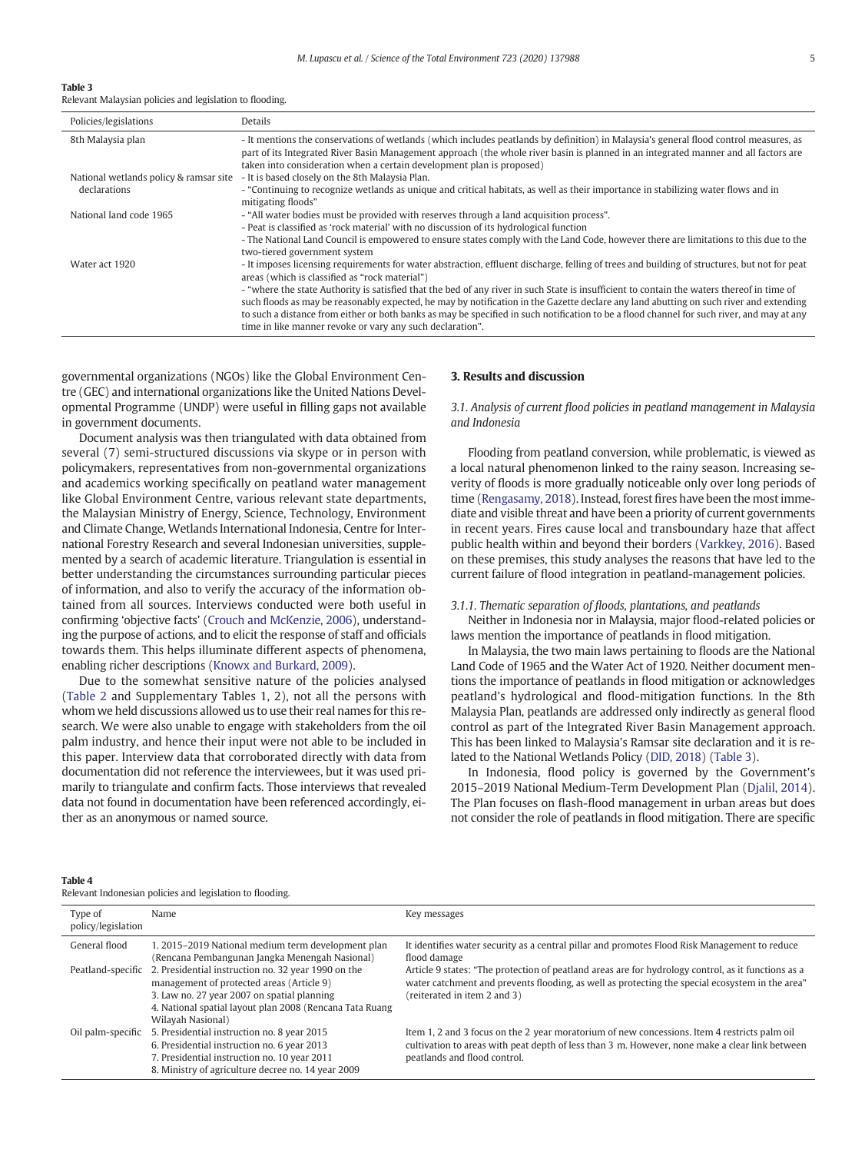#### <span id="page-4-0"></span>Table 3

Relevant Malaysian policies and legislation to flooding.

| Policies/legislations                                  | Details                                                                                                                                                                                                                                                                                                                                                                                                                                                                                                                                                                                                                                                                                           |
|--------------------------------------------------------|---------------------------------------------------------------------------------------------------------------------------------------------------------------------------------------------------------------------------------------------------------------------------------------------------------------------------------------------------------------------------------------------------------------------------------------------------------------------------------------------------------------------------------------------------------------------------------------------------------------------------------------------------------------------------------------------------|
| 8th Malaysia plan                                      | - It mentions the conservations of wetlands (which includes peatlands by definition) in Malaysia's general flood control measures, as<br>part of its Integrated River Basin Management approach (the whole river basin is planned in an integrated manner and all factors are<br>taken into consideration when a certain development plan is proposed)                                                                                                                                                                                                                                                                                                                                            |
| National wetlands policy & ramsar site<br>declarations | - It is based closely on the 8th Malaysia Plan.<br>- "Continuing to recognize wetlands as unique and critical habitats, as well as their importance in stabilizing water flows and in<br>mitigating floods"                                                                                                                                                                                                                                                                                                                                                                                                                                                                                       |
| National land code 1965                                | - "All water bodies must be provided with reserves through a land acquisition process".<br>- Peat is classified as 'rock material' with no discussion of its hydrological function<br>- The National Land Council is empowered to ensure states comply with the Land Code, however there are limitations to this due to the<br>two-tiered government system                                                                                                                                                                                                                                                                                                                                       |
| Water act 1920                                         | - It imposes licensing requirements for water abstraction, effluent discharge, felling of trees and building of structures, but not for peat<br>areas (which is classified as "rock material")<br>- "where the state Authority is satisfied that the bed of any river in such State is insufficient to contain the waters thereof in time of<br>such floods as may be reasonably expected, he may by notification in the Gazette declare any land abutting on such river and extending<br>to such a distance from either or both banks as may be specified in such notification to be a flood channel for such river, and may at any<br>time in like manner revoke or vary any such declaration". |
|                                                        |                                                                                                                                                                                                                                                                                                                                                                                                                                                                                                                                                                                                                                                                                                   |

governmental organizations (NGOs) like the Global Environment Centre (GEC) and international organizations like the United Nations Developmental Programme (UNDP) were useful in filling gaps not available in government documents.

Document analysis was then triangulated with data obtained from several (7) semi-structured discussions via skype or in person with policymakers, representatives from non-governmental organizations and academics working specifically on peatland water management like Global Environment Centre, various relevant state departments, the Malaysian Ministry of Energy, Science, Technology, Environment and Climate Change, Wetlands International Indonesia, Centre for International Forestry Research and several Indonesian universities, supplemented by a search of academic literature. Triangulation is essential in better understanding the circumstances surrounding particular pieces of information, and also to verify the accuracy of the information obtained from all sources. Interviews conducted were both useful in confirming 'objective facts' [\(Crouch and McKenzie, 2006](#page-8-0)), understanding the purpose of actions, and to elicit the response of staff and officials towards them. This helps illuminate different aspects of phenomena, enabling richer descriptions ([Knowx and Burkard, 2009\)](#page-8-0).

Due to the somewhat sensitive nature of the policies analysed [\(Table 2](#page-3-0) and Supplementary Tables 1, 2), not all the persons with whom we held discussions allowed us to use their real names for this research. We were also unable to engage with stakeholders from the oil palm industry, and hence their input were not able to be included in this paper. Interview data that corroborated directly with data from documentation did not reference the interviewees, but it was used primarily to triangulate and confirm facts. Those interviews that revealed data not found in documentation have been referenced accordingly, either as an anonymous or named source.

### 3. Results and discussion

# 3.1. Analysis of current flood policies in peatland management in Malaysia and Indonesia

Flooding from peatland conversion, while problematic, is viewed as a local natural phenomenon linked to the rainy season. Increasing severity of floods is more gradually noticeable only over long periods of time ([Rengasamy, 2018](#page-8-0)). Instead, forest fires have been the most immediate and visible threat and have been a priority of current governments in recent years. Fires cause local and transboundary haze that affect public health within and beyond their borders [\(Varkkey, 2016](#page-9-0)). Based on these premises, this study analyses the reasons that have led to the current failure of flood integration in peatland-management policies.

#### 3.1.1. Thematic separation of floods, plantations, and peatlands

Neither in Indonesia nor in Malaysia, major flood-related policies or laws mention the importance of peatlands in flood mitigation.

In Malaysia, the two main laws pertaining to floods are the National Land Code of 1965 and the Water Act of 1920. Neither document mentions the importance of peatlands in flood mitigation or acknowledges peatland's hydrological and flood-mitigation functions. In the 8th Malaysia Plan, peatlands are addressed only indirectly as general flood control as part of the Integrated River Basin Management approach. This has been linked to Malaysia's Ramsar site declaration and it is related to the National Wetlands Policy [\(DID, 2018](#page-8-0)) (Table 3).

In Indonesia, flood policy is governed by the Government's 2015–2019 National Medium-Term Development Plan ([Djalil, 2014](#page-8-0)). The Plan focuses on flash-flood management in urban areas but does not consider the role of peatlands in flood mitigation. There are specific

#### Table 4

Relevant Indonesian policies and legislation to flooding.

| Type of<br>policy/legislation | Name                                                                                                     | Key messages                                                                                                                                                                                           |
|-------------------------------|----------------------------------------------------------------------------------------------------------|--------------------------------------------------------------------------------------------------------------------------------------------------------------------------------------------------------|
| General flood                 | 1, 2015–2019 National medium term development plan<br>(Rencana Pembangunan Jangka Menengah Nasional)     | It identifies water security as a central pillar and promotes Flood Risk Management to reduce<br>flood damage                                                                                          |
| Peatland-specific             | 2. Presidential instruction no. 32 year 1990 on the<br>management of protected areas (Article 9)         | Article 9 states: "The protection of peatland areas are for hydrology control, as it functions as a<br>water catchment and prevents flooding, as well as protecting the special ecosystem in the area" |
|                               | 3. Law no. 27 year 2007 on spatial planning<br>4. National spatial layout plan 2008 (Rencana Tata Ruang) | (reiterated in item 2 and 3)                                                                                                                                                                           |
|                               | Wilayah Nasional)                                                                                        |                                                                                                                                                                                                        |
| Oil palm-specific             | 5. Presidential instruction no. 8 year 2015                                                              | Item 1, 2 and 3 focus on the 2 year moratorium of new concessions. Item 4 restricts palm oil                                                                                                           |
|                               | 6. Presidential instruction no. 6 year 2013                                                              | cultivation to areas with peat depth of less than 3 m. However, none make a clear link between                                                                                                         |
|                               | 7. Presidential instruction no. 10 year 2011                                                             | peatlands and flood control.                                                                                                                                                                           |
|                               | 8. Ministry of agriculture decree no. 14 year 2009                                                       |                                                                                                                                                                                                        |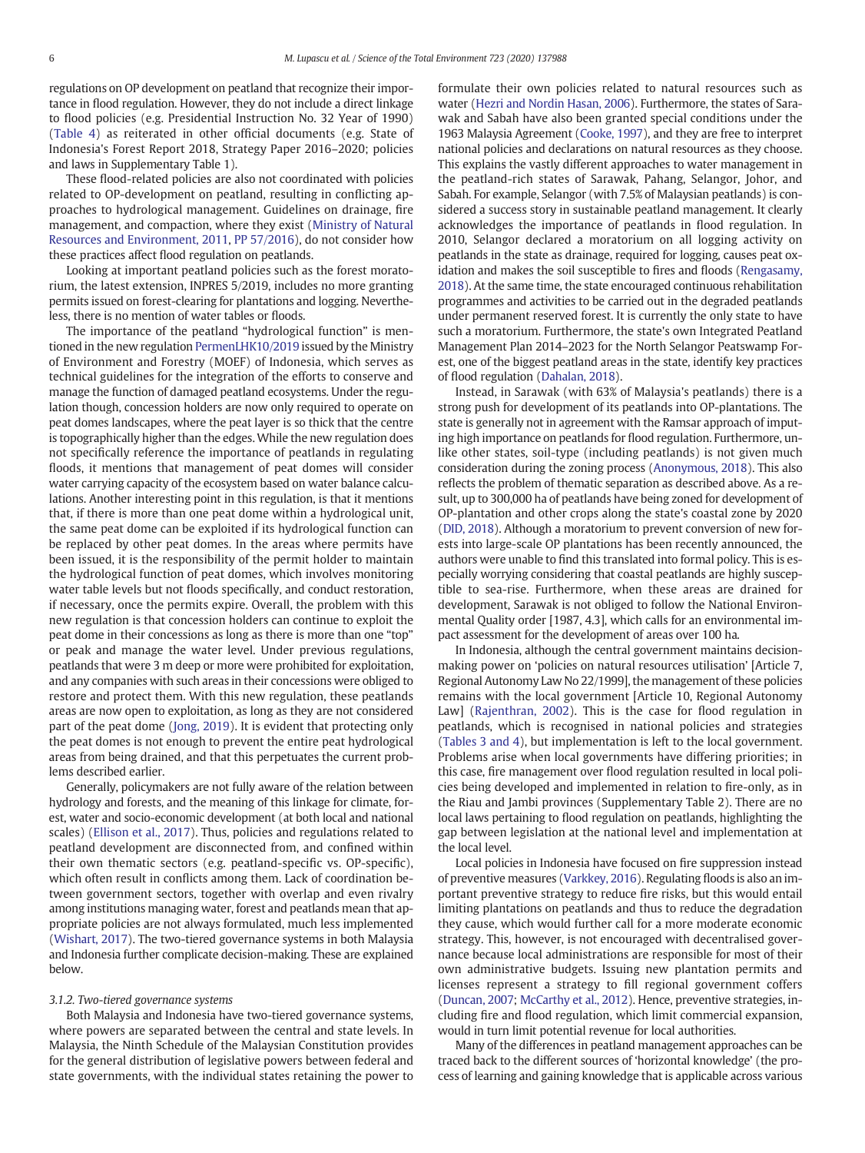regulations on OP development on peatland that recognize their importance in flood regulation. However, they do not include a direct linkage to flood policies (e.g. Presidential Instruction No. 32 Year of 1990) [\(Table 4\)](#page-4-0) as reiterated in other official documents (e.g. State of Indonesia's Forest Report 2018, Strategy Paper 2016–2020; policies and laws in Supplementary Table 1).

These flood-related policies are also not coordinated with policies related to OP-development on peatland, resulting in conflicting approaches to hydrological management. Guidelines on drainage, fire management, and compaction, where they exist [\(Ministry of Natural](#page-8-0) [Resources and Environment, 2011](#page-8-0), [PP 57/2016\)](#page-8-0), do not consider how these practices affect flood regulation on peatlands.

Looking at important peatland policies such as the forest moratorium, the latest extension, INPRES 5/2019, includes no more granting permits issued on forest-clearing for plantations and logging. Nevertheless, there is no mention of water tables or floods.

The importance of the peatland "hydrological function" is mentioned in the new regulation [PermenLHK10/2019](#page-8-0) issued by the Ministry of Environment and Forestry (MOEF) of Indonesia, which serves as technical guidelines for the integration of the efforts to conserve and manage the function of damaged peatland ecosystems. Under the regulation though, concession holders are now only required to operate on peat domes landscapes, where the peat layer is so thick that the centre is topographically higher than the edges. While the new regulation does not specifically reference the importance of peatlands in regulating floods, it mentions that management of peat domes will consider water carrying capacity of the ecosystem based on water balance calculations. Another interesting point in this regulation, is that it mentions that, if there is more than one peat dome within a hydrological unit, the same peat dome can be exploited if its hydrological function can be replaced by other peat domes. In the areas where permits have been issued, it is the responsibility of the permit holder to maintain the hydrological function of peat domes, which involves monitoring water table levels but not floods specifically, and conduct restoration, if necessary, once the permits expire. Overall, the problem with this new regulation is that concession holders can continue to exploit the peat dome in their concessions as long as there is more than one "top" or peak and manage the water level. Under previous regulations, peatlands that were 3 m deep or more were prohibited for exploitation, and any companies with such areas in their concessions were obliged to restore and protect them. With this new regulation, these peatlands areas are now open to exploitation, as long as they are not considered part of the peat dome ([Jong, 2019](#page-8-0)). It is evident that protecting only the peat domes is not enough to prevent the entire peat hydrological areas from being drained, and that this perpetuates the current problems described earlier.

Generally, policymakers are not fully aware of the relation between hydrology and forests, and the meaning of this linkage for climate, forest, water and socio-economic development (at both local and national scales) [\(Ellison et al., 2017](#page-8-0)). Thus, policies and regulations related to peatland development are disconnected from, and confined within their own thematic sectors (e.g. peatland-specific vs. OP-specific), which often result in conflicts among them. Lack of coordination between government sectors, together with overlap and even rivalry among institutions managing water, forest and peatlands mean that appropriate policies are not always formulated, much less implemented [\(Wishart, 2017\)](#page-9-0). The two-tiered governance systems in both Malaysia and Indonesia further complicate decision-making. These are explained below.

#### 3.1.2. Two-tiered governance systems

Both Malaysia and Indonesia have two-tiered governance systems, where powers are separated between the central and state levels. In Malaysia, the Ninth Schedule of the Malaysian Constitution provides for the general distribution of legislative powers between federal and state governments, with the individual states retaining the power to formulate their own policies related to natural resources such as water ([Hezri and Nordin Hasan, 2006\)](#page-8-0). Furthermore, the states of Sarawak and Sabah have also been granted special conditions under the 1963 Malaysia Agreement ([Cooke, 1997\)](#page-7-0), and they are free to interpret national policies and declarations on natural resources as they choose. This explains the vastly different approaches to water management in the peatland-rich states of Sarawak, Pahang, Selangor, Johor, and Sabah. For example, Selangor (with 7.5% of Malaysian peatlands) is considered a success story in sustainable peatland management. It clearly acknowledges the importance of peatlands in flood regulation. In 2010, Selangor declared a moratorium on all logging activity on peatlands in the state as drainage, required for logging, causes peat oxidation and makes the soil susceptible to fires and floods [\(Rengasamy,](#page-8-0) [2018\)](#page-8-0). At the same time, the state encouraged continuous rehabilitation programmes and activities to be carried out in the degraded peatlands under permanent reserved forest. It is currently the only state to have such a moratorium. Furthermore, the state's own Integrated Peatland Management Plan 2014–2023 for the North Selangor Peatswamp Forest, one of the biggest peatland areas in the state, identify key practices of flood regulation ([Dahalan, 2018\)](#page-8-0).

Instead, in Sarawak (with 63% of Malaysia's peatlands) there is a strong push for development of its peatlands into OP-plantations. The state is generally not in agreement with the Ramsar approach of imputing high importance on peatlands for flood regulation. Furthermore, unlike other states, soil-type (including peatlands) is not given much consideration during the zoning process [\(Anonymous, 2018\)](#page-7-0). This also reflects the problem of thematic separation as described above. As a result, up to 300,000 ha of peatlands have being zoned for development of OP-plantation and other crops along the state's coastal zone by 2020 [\(DID, 2018](#page-8-0)). Although a moratorium to prevent conversion of new forests into large-scale OP plantations has been recently announced, the authors were unable to find this translated into formal policy. This is especially worrying considering that coastal peatlands are highly susceptible to sea-rise. Furthermore, when these areas are drained for development, Sarawak is not obliged to follow the National Environmental Quality order [1987, 4.3], which calls for an environmental impact assessment for the development of areas over 100 ha.

In Indonesia, although the central government maintains decisionmaking power on 'policies on natural resources utilisation' [Article 7, Regional Autonomy Law No 22/1999], the management of these policies remains with the local government [Article 10, Regional Autonomy Law] [\(Rajenthran, 2002](#page-8-0)). This is the case for flood regulation in peatlands, which is recognised in national policies and strategies [\(Tables 3 and 4\)](#page-4-0), but implementation is left to the local government. Problems arise when local governments have differing priorities; in this case, fire management over flood regulation resulted in local policies being developed and implemented in relation to fire-only, as in the Riau and Jambi provinces (Supplementary Table 2). There are no local laws pertaining to flood regulation on peatlands, highlighting the gap between legislation at the national level and implementation at the local level.

Local policies in Indonesia have focused on fire suppression instead of preventive measures [\(Varkkey, 2016](#page-9-0)). Regulating floods is also an important preventive strategy to reduce fire risks, but this would entail limiting plantations on peatlands and thus to reduce the degradation they cause, which would further call for a more moderate economic strategy. This, however, is not encouraged with decentralised governance because local administrations are responsible for most of their own administrative budgets. Issuing new plantation permits and licenses represent a strategy to fill regional government coffers [\(Duncan, 2007;](#page-8-0) [McCarthy et al., 2012](#page-8-0)). Hence, preventive strategies, including fire and flood regulation, which limit commercial expansion, would in turn limit potential revenue for local authorities.

Many of the differences in peatland management approaches can be traced back to the different sources of 'horizontal knowledge' (the process of learning and gaining knowledge that is applicable across various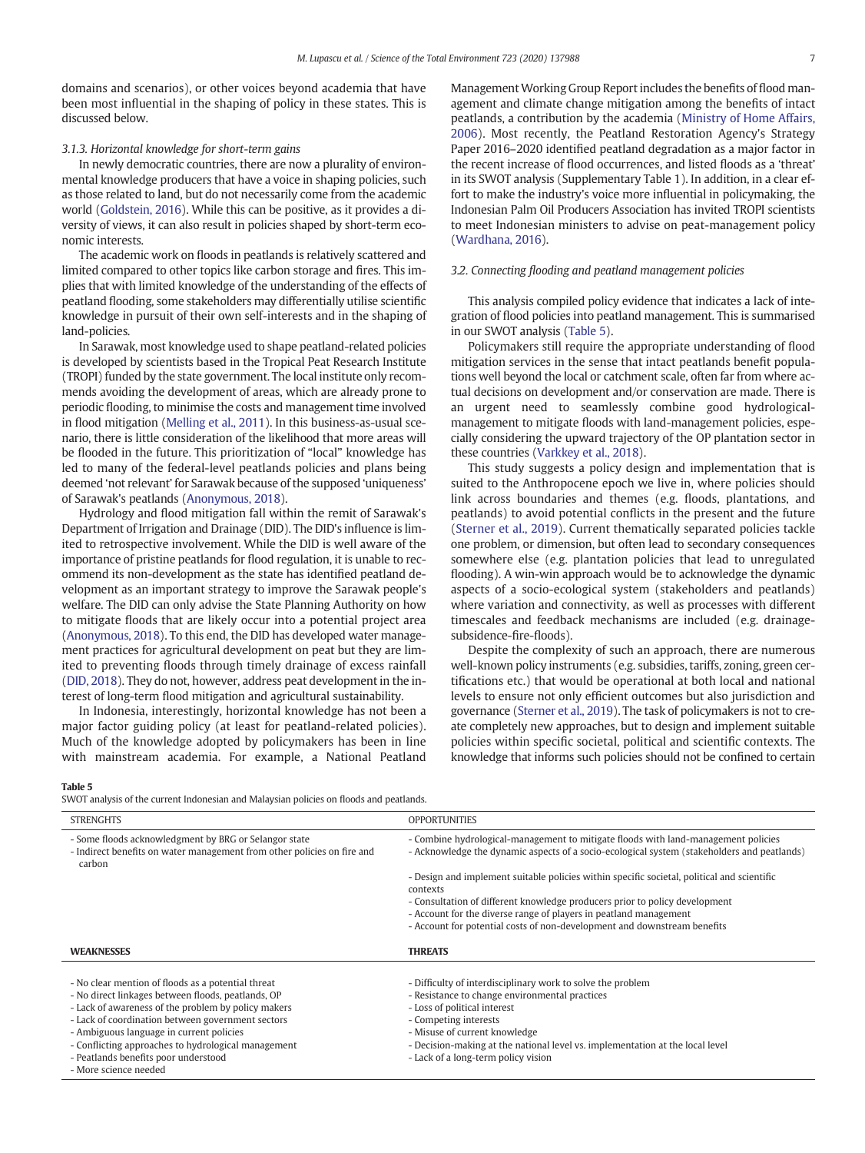domains and scenarios), or other voices beyond academia that have been most influential in the shaping of policy in these states. This is discussed below.

#### 3.1.3. Horizontal knowledge for short-term gains

In newly democratic countries, there are now a plurality of environmental knowledge producers that have a voice in shaping policies, such as those related to land, but do not necessarily come from the academic world [\(Goldstein, 2016\)](#page-8-0). While this can be positive, as it provides a diversity of views, it can also result in policies shaped by short-term economic interests.

The academic work on floods in peatlands is relatively scattered and limited compared to other topics like carbon storage and fires. This implies that with limited knowledge of the understanding of the effects of peatland flooding, some stakeholders may differentially utilise scientific knowledge in pursuit of their own self-interests and in the shaping of land-policies.

In Sarawak, most knowledge used to shape peatland-related policies is developed by scientists based in the Tropical Peat Research Institute (TROPI) funded by the state government. The local institute only recommends avoiding the development of areas, which are already prone to periodic flooding, to minimise the costs and management time involved in flood mitigation ([Melling et al., 2011](#page-8-0)). In this business-as-usual scenario, there is little consideration of the likelihood that more areas will be flooded in the future. This prioritization of "local" knowledge has led to many of the federal-level peatlands policies and plans being deemed 'not relevant' for Sarawak because of the supposed 'uniqueness' of Sarawak's peatlands ([Anonymous, 2018](#page-7-0)).

Hydrology and flood mitigation fall within the remit of Sarawak's Department of Irrigation and Drainage (DID). The DID's influence is limited to retrospective involvement. While the DID is well aware of the importance of pristine peatlands for flood regulation, it is unable to recommend its non-development as the state has identified peatland development as an important strategy to improve the Sarawak people's welfare. The DID can only advise the State Planning Authority on how to mitigate floods that are likely occur into a potential project area [\(Anonymous, 2018\)](#page-7-0). To this end, the DID has developed water management practices for agricultural development on peat but they are limited to preventing floods through timely drainage of excess rainfall [\(DID, 2018\)](#page-8-0). They do not, however, address peat development in the interest of long-term flood mitigation and agricultural sustainability.

In Indonesia, interestingly, horizontal knowledge has not been a major factor guiding policy (at least for peatland-related policies). Much of the knowledge adopted by policymakers has been in line with mainstream academia. For example, a National Peatland Management Working Group Report includes the benefits of flood management and climate change mitigation among the benefits of intact peatlands, a contribution by the academia ([Ministry of Home Affairs,](#page-8-0) [2006\)](#page-8-0). Most recently, the Peatland Restoration Agency's Strategy Paper 2016–2020 identified peatland degradation as a major factor in the recent increase of flood occurrences, and listed floods as a 'threat' in its SWOT analysis (Supplementary Table 1). In addition, in a clear effort to make the industry's voice more influential in policymaking, the Indonesian Palm Oil Producers Association has invited TROPI scientists to meet Indonesian ministers to advise on peat-management policy [\(Wardhana, 2016\)](#page-9-0).

# 3.2. Connecting flooding and peatland management policies

This analysis compiled policy evidence that indicates a lack of integration of flood policies into peatland management. This is summarised in our SWOT analysis (Table 5).

Policymakers still require the appropriate understanding of flood mitigation services in the sense that intact peatlands benefit populations well beyond the local or catchment scale, often far from where actual decisions on development and/or conservation are made. There is an urgent need to seamlessly combine good hydrologicalmanagement to mitigate floods with land-management policies, especially considering the upward trajectory of the OP plantation sector in these countries [\(Varkkey et al., 2018\)](#page-9-0).

This study suggests a policy design and implementation that is suited to the Anthropocene epoch we live in, where policies should link across boundaries and themes (e.g. floods, plantations, and peatlands) to avoid potential conflicts in the present and the future [\(Sterner et al., 2019](#page-8-0)). Current thematically separated policies tackle one problem, or dimension, but often lead to secondary consequences somewhere else (e.g. plantation policies that lead to unregulated flooding). A win-win approach would be to acknowledge the dynamic aspects of a socio-ecological system (stakeholders and peatlands) where variation and connectivity, as well as processes with different timescales and feedback mechanisms are included (e.g. drainagesubsidence-fire-floods).

Despite the complexity of such an approach, there are numerous well-known policy instruments (e.g. subsidies, tariffs, zoning, green certifications etc.) that would be operational at both local and national levels to ensure not only efficient outcomes but also jurisdiction and governance ([Sterner et al., 2019](#page-8-0)). The task of policymakers is not to create completely new approaches, but to design and implement suitable policies within specific societal, political and scientific contexts. The knowledge that informs such policies should not be confined to certain

#### Table 5

SWOT analysis of the current Indonesian and Malaysian policies on floods and peatlands.

| <b>STRENGHTS</b>                                                                                                                                                                                                                                                                                                                                                                         | <b>OPPORTUNITIES</b>                                                                                                                                                                                                                                                                                                            |
|------------------------------------------------------------------------------------------------------------------------------------------------------------------------------------------------------------------------------------------------------------------------------------------------------------------------------------------------------------------------------------------|---------------------------------------------------------------------------------------------------------------------------------------------------------------------------------------------------------------------------------------------------------------------------------------------------------------------------------|
| - Some floods acknowledgment by BRG or Selangor state<br>- Indirect benefits on water management from other policies on fire and<br>carbon                                                                                                                                                                                                                                               | - Combine hydrological-management to mitigate floods with land-management policies<br>- Acknowledge the dynamic aspects of a socio-ecological system (stakeholders and peatlands)                                                                                                                                               |
|                                                                                                                                                                                                                                                                                                                                                                                          | - Design and implement suitable policies within specific societal, political and scientific<br>contexts                                                                                                                                                                                                                         |
|                                                                                                                                                                                                                                                                                                                                                                                          | - Consultation of different knowledge producers prior to policy development<br>- Account for the diverse range of players in peatland management<br>- Account for potential costs of non-development and downstream benefits                                                                                                    |
| <b>WEAKNESSES</b>                                                                                                                                                                                                                                                                                                                                                                        | <b>THREATS</b>                                                                                                                                                                                                                                                                                                                  |
| - No clear mention of floods as a potential threat<br>- No direct linkages between floods, peatlands, OP<br>- Lack of awareness of the problem by policy makers<br>- Lack of coordination between government sectors<br>- Ambiguous language in current policies<br>- Conflicting approaches to hydrological management<br>- Peatlands benefits poor understood<br>- More science needed | - Difficulty of interdisciplinary work to solve the problem<br>- Resistance to change environmental practices<br>- Loss of political interest<br>- Competing interests<br>- Misuse of current knowledge<br>- Decision-making at the national level vs. implementation at the local level<br>- Lack of a long-term policy vision |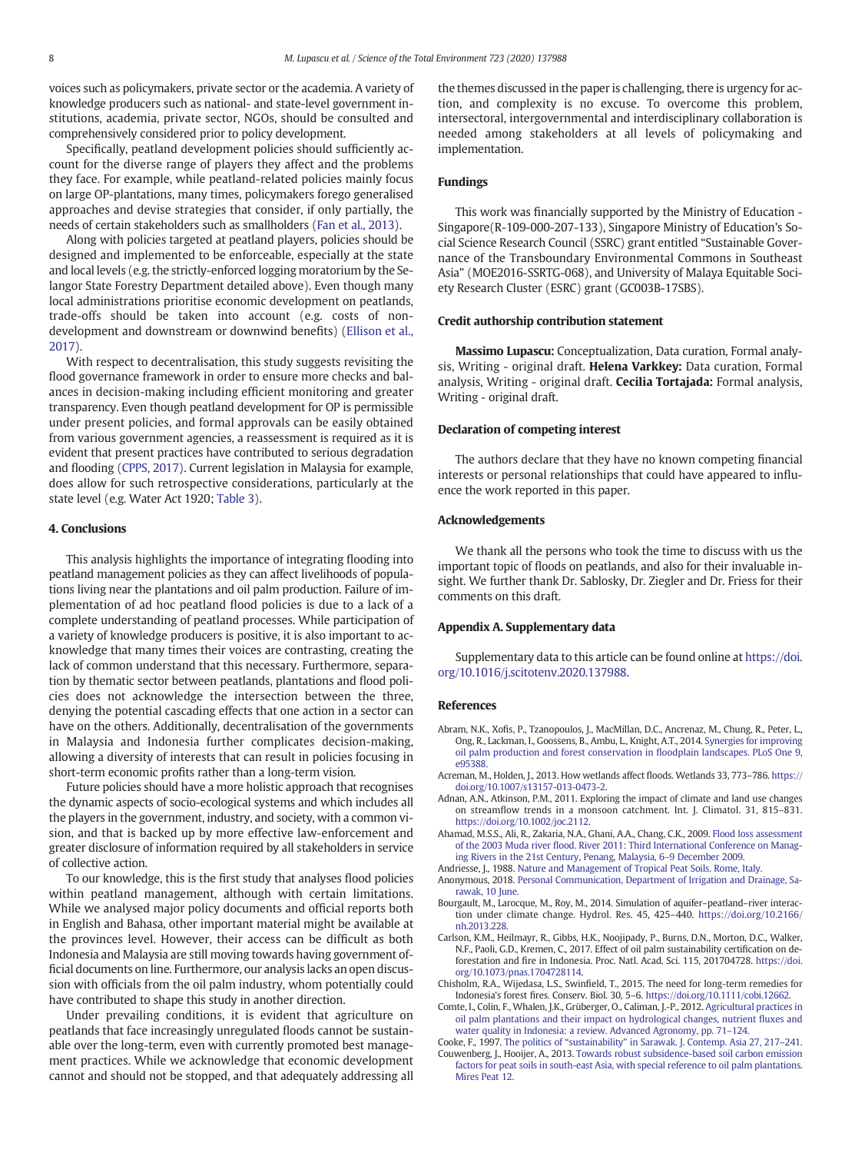<span id="page-7-0"></span>voices such as policymakers, private sector or the academia. A variety of knowledge producers such as national- and state-level government institutions, academia, private sector, NGOs, should be consulted and comprehensively considered prior to policy development.

Specifically, peatland development policies should sufficiently account for the diverse range of players they affect and the problems they face. For example, while peatland-related policies mainly focus on large OP-plantations, many times, policymakers forego generalised approaches and devise strategies that consider, if only partially, the needs of certain stakeholders such as smallholders [\(Fan et al., 2013\)](#page-8-0).

Along with policies targeted at peatland players, policies should be designed and implemented to be enforceable, especially at the state and local levels (e.g. the strictly-enforced logging moratorium by the Selangor State Forestry Department detailed above). Even though many local administrations prioritise economic development on peatlands, trade-offs should be taken into account (e.g. costs of nondevelopment and downstream or downwind benefits) ([Ellison et al.,](#page-8-0) [2017\)](#page-8-0).

With respect to decentralisation, this study suggests revisiting the flood governance framework in order to ensure more checks and balances in decision-making including efficient monitoring and greater transparency. Even though peatland development for OP is permissible under present policies, and formal approvals can be easily obtained from various government agencies, a reassessment is required as it is evident that present practices have contributed to serious degradation and flooding [\(CPPS, 2017](#page-8-0)). Current legislation in Malaysia for example, does allow for such retrospective considerations, particularly at the state level (e.g. Water Act 1920; [Table 3](#page-4-0)).

#### 4. Conclusions

This analysis highlights the importance of integrating flooding into peatland management policies as they can affect livelihoods of populations living near the plantations and oil palm production. Failure of implementation of ad hoc peatland flood policies is due to a lack of a complete understanding of peatland processes. While participation of a variety of knowledge producers is positive, it is also important to acknowledge that many times their voices are contrasting, creating the lack of common understand that this necessary. Furthermore, separation by thematic sector between peatlands, plantations and flood policies does not acknowledge the intersection between the three, denying the potential cascading effects that one action in a sector can have on the others. Additionally, decentralisation of the governments in Malaysia and Indonesia further complicates decision-making, allowing a diversity of interests that can result in policies focusing in short-term economic profits rather than a long-term vision.

Future policies should have a more holistic approach that recognises the dynamic aspects of socio-ecological systems and which includes all the players in the government, industry, and society, with a common vision, and that is backed up by more effective law-enforcement and greater disclosure of information required by all stakeholders in service of collective action.

To our knowledge, this is the first study that analyses flood policies within peatland management, although with certain limitations. While we analysed major policy documents and official reports both in English and Bahasa, other important material might be available at the provinces level. However, their access can be difficult as both Indonesia and Malaysia are still moving towards having government official documents on line. Furthermore, our analysis lacks an open discussion with officials from the oil palm industry, whom potentially could have contributed to shape this study in another direction.

Under prevailing conditions, it is evident that agriculture on peatlands that face increasingly unregulated floods cannot be sustainable over the long-term, even with currently promoted best management practices. While we acknowledge that economic development cannot and should not be stopped, and that adequately addressing all the themes discussed in the paper is challenging, there is urgency for action, and complexity is no excuse. To overcome this problem, intersectoral, intergovernmental and interdisciplinary collaboration is needed among stakeholders at all levels of policymaking and implementation.

### Fundings

This work was financially supported by the Ministry of Education - Singapore(R-109-000-207-133), Singapore Ministry of Education's Social Science Research Council (SSRC) grant entitled "Sustainable Governance of the Transboundary Environmental Commons in Southeast Asia" (MOE2016-SSRTG-068), and University of Malaya Equitable Society Research Cluster (ESRC) grant (GC003B-17SBS).

#### Credit authorship contribution statement

Massimo Lupascu: Conceptualization, Data curation, Formal analysis, Writing - original draft. Helena Varkkey: Data curation, Formal analysis, Writing - original draft. Cecilia Tortajada: Formal analysis, Writing - original draft.

#### Declaration of competing interest

The authors declare that they have no known competing financial interests or personal relationships that could have appeared to influence the work reported in this paper.

#### Acknowledgements

We thank all the persons who took the time to discuss with us the important topic of floods on peatlands, and also for their invaluable insight. We further thank Dr. Sablosky, Dr. Ziegler and Dr. Friess for their comments on this draft.

# Appendix A. Supplementary data

Supplementary data to this article can be found online at [https://doi.](https://doi.org/10.1016/j.scitotenv.2020.137988) [org/10.1016/j.scitotenv.2020.137988.](https://doi.org/10.1016/j.scitotenv.2020.137988)

#### References

- Abram, N.K., Xofis, P., Tzanopoulos, J., MacMillan, D.C., Ancrenaz, M., Chung, R., Peter, L., Ong, R., Lackman, I., Goossens, B., Ambu, L., Knight, A.T., 2014. [Synergies for improving](http://refhub.elsevier.com/S0048-9697(20)31501-1/rf0005) [oil palm production and forest conservation in](http://refhub.elsevier.com/S0048-9697(20)31501-1/rf0005) floodplain landscapes. PLoS One 9, [e95388.](http://refhub.elsevier.com/S0048-9697(20)31501-1/rf0005)
- Acreman, M., Holden, J., 2013. How wetlands affect floods. Wetlands 33, 773-786. [https://](https://doi.org/10.1007/s13157-013-0473-2) [doi.org/10.1007/s13157-013-0473-2.](https://doi.org/10.1007/s13157-013-0473-2)
- Adnan, A.N., Atkinson, P.M., 2011. Exploring the impact of climate and land use changes on streamflow trends in a monsoon catchment. Int. J. Climatol. 31, 815–831. <https://doi.org/10.1002/joc.2112>.
- Ahamad, M.S.S., Ali, R., Zakaria, N.A., Ghani, A.A., Chang, C.K., 2009. [Flood loss assessment](http://refhub.elsevier.com/S0048-9697(20)31501-1/rf0020) of the 2003 Muda river fl[ood. River 2011: Third International Conference on Manag](http://refhub.elsevier.com/S0048-9697(20)31501-1/rf0020)[ing Rivers in the 21st Century, Penang, Malaysia, 6](http://refhub.elsevier.com/S0048-9697(20)31501-1/rf0020)–9 December 2009.
- Andriesse, J., 1988. [Nature and Management of Tropical Peat Soils. Rome, Italy.](http://refhub.elsevier.com/S0048-9697(20)31501-1/rf0025)
- Anonymous, 2018. [Personal Communication, Department of Irrigation and Drainage, Sa](http://refhub.elsevier.com/S0048-9697(20)31501-1/rf0030)[rawak, 10 June](http://refhub.elsevier.com/S0048-9697(20)31501-1/rf0030).
- Bourgault, M., Larocque, M., Roy, M., 2014. Simulation of aquifer–peatland–river interaction under climate change. Hydrol. Res. 45, 425–440. [https://doi.org/10.2166/](https://doi.org/10.2166/nh.2013.228) [nh.2013.228.](https://doi.org/10.2166/nh.2013.228)
- Carlson, K.M., Heilmayr, R., Gibbs, H.K., Noojipady, P., Burns, D.N., Morton, D.C., Walker, N.F., Paoli, G.D., Kremen, C., 2017. Effect of oil palm sustainability certification on deforestation and fire in Indonesia. Proc. Natl. Acad. Sci. 115, 201704728. [https://doi.](https://doi.org/10.1073/pnas.1704728114) [org/10.1073/pnas.1704728114](https://doi.org/10.1073/pnas.1704728114).
- Chisholm, R.A., Wijedasa, L.S., Swinfield, T., 2015. The need for long-term remedies for Indonesia's forest fires. Conserv. Biol. 30, 5–6. [https://doi.org/10.1111/cobi.12662.](https://doi.org/10.1111/cobi.12662)
- Comte, I., Colin, F., Whalen, J.K., Grüberger, O., Caliman, J.-P., 2012. [Agricultural practices in](http://refhub.elsevier.com/S0048-9697(20)31501-1/rf0050) [oil palm plantations and their impact on hydrological changes, nutrient](http://refhub.elsevier.com/S0048-9697(20)31501-1/rf0050) fluxes and [water quality in Indonesia: a review. Advanced Agronomy, pp. 71](http://refhub.elsevier.com/S0048-9697(20)31501-1/rf0050)–124. Cooke, F., 1997. The politics of "sustainability" [in Sarawak. J. Contemp. Asia 27, 217](http://refhub.elsevier.com/S0048-9697(20)31501-1/rf0055)–241.
- Couwenberg, J., Hooijer, A., 2013. [Towards robust subsidence-based soil carbon emission](http://refhub.elsevier.com/S0048-9697(20)31501-1/rf0060) [factors for peat soils in south-east Asia, with special reference to oil palm plantations.](http://refhub.elsevier.com/S0048-9697(20)31501-1/rf0060) [Mires Peat 12.](http://refhub.elsevier.com/S0048-9697(20)31501-1/rf0060)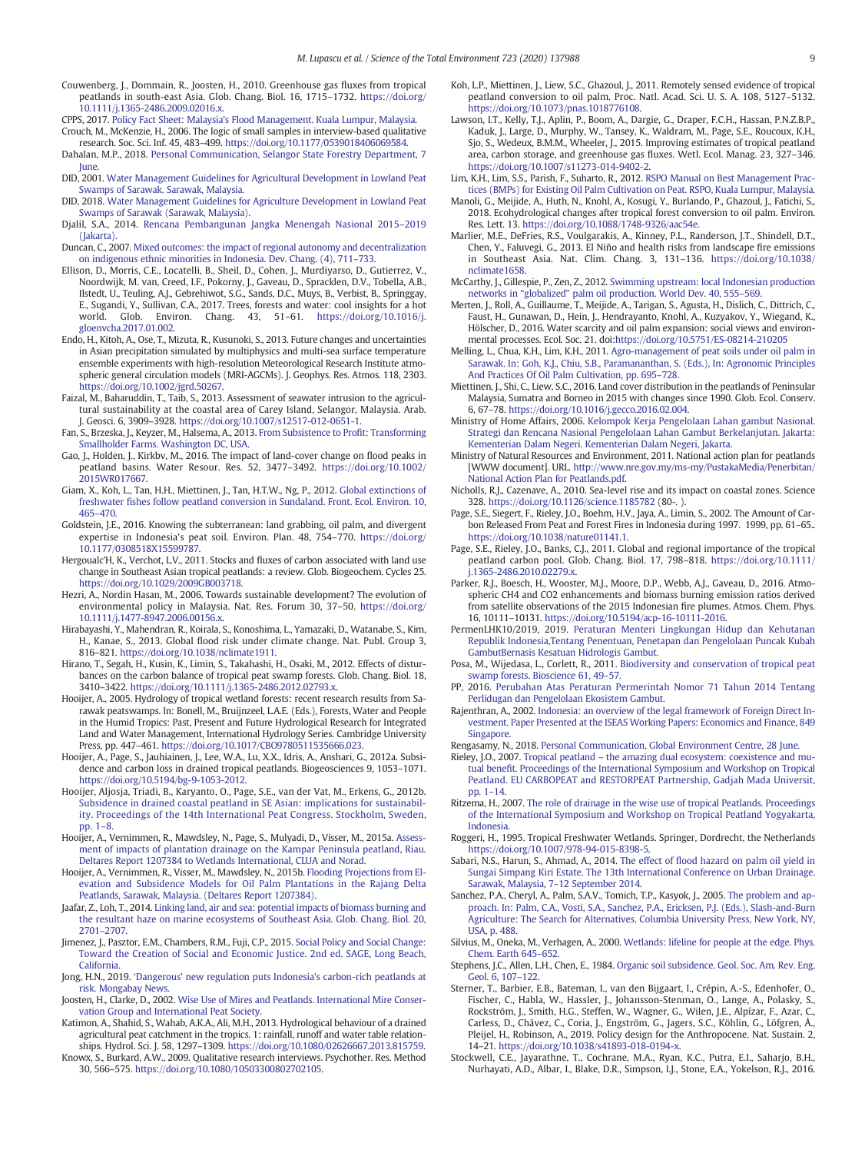- <span id="page-8-0"></span>Couwenberg, J., Dommain, R., Joosten, H., 2010. Greenhouse gas fluxes from tropical peatlands in south-east Asia. Glob. Chang. Biol. 16, 1715–1732. [https://doi.org/](https://doi.org/10.1111/j.1365-2486.2009.02016.x) [10.1111/j.1365-2486.2009.02016.x](https://doi.org/10.1111/j.1365-2486.2009.02016.x).
- CPPS, 2017. Policy Fact Sheet: Malaysia'[s Flood Management. Kuala Lumpur, Malaysia.](http://refhub.elsevier.com/S0048-9697(20)31501-1/rf0070) Crouch, M., McKenzie, H., 2006. The logic of small samples in interview-based qualitative
- research. Soc. Sci. Inf. 45, 483–499. [https://doi.org/10.1177/0539018406069584.](https://doi.org/10.1177/0539018406069584) Dahalan, M.P., 2018. [Personal Communication, Selangor State Forestry Department, 7](http://refhub.elsevier.com/S0048-9697(20)31501-1/rf0080)
- [June.](http://refhub.elsevier.com/S0048-9697(20)31501-1/rf0080) DID, 2001. [Water Management Guidelines for Agricultural Development in Lowland Peat](http://refhub.elsevier.com/S0048-9697(20)31501-1/rf0085) [Swamps of Sarawak. Sarawak, Malaysia.](http://refhub.elsevier.com/S0048-9697(20)31501-1/rf0085)
- DID, 2018. [Water Management Guidelines for Agriculture Development in Lowland Peat](http://refhub.elsevier.com/S0048-9697(20)31501-1/rf0090) [Swamps of Sarawak \(Sarawak, Malaysia\)](http://refhub.elsevier.com/S0048-9697(20)31501-1/rf0090).
- Djalil, S.A., 2014. [Rencana Pembangunan Jangka Menengah Nasional 2015](http://refhub.elsevier.com/S0048-9697(20)31501-1/rf0095)–2019 [\(Jakarta\)](http://refhub.elsevier.com/S0048-9697(20)31501-1/rf0095).
- Duncan, C., 2007. [Mixed outcomes: the impact of regional autonomy and decentralization](http://refhub.elsevier.com/S0048-9697(20)31501-1/rf0100) [on indigenous ethnic minorities in Indonesia. Dev. Chang. \(4\), 711](http://refhub.elsevier.com/S0048-9697(20)31501-1/rf0100)–733.
- Ellison, D., Morris, C.E., Locatelli, B., Sheil, D., Cohen, J., Murdiyarso, D., Gutierrez, V., Noordwijk, M. van, Creed, I.F., Pokorny, J., Gaveau, D., Spracklen, D.V., Tobella, A.B., Ilstedt, U., Teuling, A.J., Gebrehiwot, S.G., Sands, D.C., Muys, B., Verbist, B., Springgay, E., Sugandi, Y., Sullivan, C.A., 2017. Trees, forests and water: cool insights for a hot world. Glob. Environ. Chang. 43, 51–61. [https://doi.org/10.1016/j.](https://doi.org/10.1016/j.gloenvcha.2017.01.002) [gloenvcha.2017.01.002](https://doi.org/10.1016/j.gloenvcha.2017.01.002).
- Endo, H., Kitoh, A., Ose, T., Mizuta, R., Kusunoki, S., 2013. Future changes and uncertainties in Asian precipitation simulated by multiphysics and multi-sea surface temperature ensemble experiments with high-resolution Meteorological Research Institute atmospheric general circulation models (MRI-AGCMs). J. Geophys. Res. Atmos. 118, 2303. [https://doi.org/10.1002/jgrd.50267.](https://doi.org/10.1002/jgrd.50267)
- Faizal, M., Baharuddin, T., Taib, S., 2013. Assessment of seawater intrusion to the agricultural sustainability at the coastal area of Carey Island, Selangor, Malaysia. Arab. J. Geosci. 6, 3909–3928. [https://doi.org/10.1007/s12517-012-0651-1.](https://doi.org/10.1007/s12517-012-0651-1)
- Fan, S., Brzeska, J., Keyzer, M., Halsema, A., 2013. [From Subsistence to Pro](http://refhub.elsevier.com/S0048-9697(20)31501-1/rf0120)fit: Transforming [Smallholder Farms. Washington DC, USA](http://refhub.elsevier.com/S0048-9697(20)31501-1/rf0120).
- Gao, J., Holden, J., Kirkbv, M., 2016. The impact of land-cover change on flood peaks in peatland basins. Water Resour. Res. 52, 3477–3492. [https://doi.org/10.1002/](https://doi.org/10.1002/2015WR017667) [2015WR017667](https://doi.org/10.1002/2015WR017667).
- Giam, X., Koh, L., Tan, H.H., Miettinen, J., Tan, H.T.W., Ng, P., 2012. [Global extinctions of](http://refhub.elsevier.com/S0048-9697(20)31501-1/rf0130) freshwater fi[shes follow peatland conversion in Sundaland. Front. Ecol. Environ. 10,](http://refhub.elsevier.com/S0048-9697(20)31501-1/rf0130) [465](http://refhub.elsevier.com/S0048-9697(20)31501-1/rf0130)–470.
- Goldstein, J.E., 2016. Knowing the subterranean: land grabbing, oil palm, and divergent expertise in Indonesia's peat soil. Environ. Plan. 48, 754–770. [https://doi.org/](https://doi.org/10.1177/0308518X15599787) [10.1177/0308518X15599787.](https://doi.org/10.1177/0308518X15599787)
- Hergoualc'H, K., Verchot, L.V., 2011. Stocks and fluxes of carbon associated with land use change in Southeast Asian tropical peatlands: a review. Glob. Biogeochem. Cycles 25. [https://doi.org/10.1029/2009GB003718.](https://doi.org/10.1029/2009GB003718)
- Hezri, A., Nordin Hasan, M., 2006. Towards sustainable development? The evolution of environmental policy in Malaysia. Nat. Res. Forum 30, 37–50. [https://doi.org/](https://doi.org/10.1111/j.1477-8947.2006.00156.x) [10.1111/j.1477-8947.2006.00156.x](https://doi.org/10.1111/j.1477-8947.2006.00156.x).
- Hirabayashi, Y., Mahendran, R., Koirala, S., Konoshima, L., Yamazaki, D., Watanabe, S., Kim, H., Kanae, S., 2013. Global flood risk under climate change. Nat. Publ. Group 3, 816–821. <https://doi.org/10.1038/nclimate1911>.
- Hirano, T., Segah, H., Kusin, K., Limin, S., Takahashi, H., Osaki, M., 2012. Effects of disturbances on the carbon balance of tropical peat swamp forests. Glob. Chang. Biol. 18, 3410–3422. <https://doi.org/10.1111/j.1365-2486.2012.02793.x>.
- Hooijer, A., 2005. Hydrology of tropical wetland forests: recent research results from Sarawak peatswamps. In: Bonell, M., Bruijnzeel, L.A.E. (Eds.), Forests, Water and People in the Humid Tropics: Past, Present and Future Hydrological Research for Integrated Land and Water Management, International Hydrology Series. Cambridge University Press, pp. 447–461. <https://doi.org/10.1017/CBO9780511535666.023>.
- Hooijer, A., Page, S., Jauhiainen, J., Lee, W.A., Lu, X.X., Idris, A., Anshari, G., 2012a. Subsidence and carbon loss in drained tropical peatlands. Biogeosciences 9, 1053–1071. [https://doi.org/10.5194/bg-9-1053-2012.](https://doi.org/10.5194/bg-9-1053-2012)
- Hooijer, Aljosja, Triadi, B., Karyanto, O., Page, S.E., van der Vat, M., Erkens, G., 2012b. [Subsidence in drained coastal peatland in SE Asian: implications for sustainabil](http://refhub.elsevier.com/S0048-9697(20)31501-1/rf0170)[ity. Proceedings of the 14th International Peat Congress. Stockholm, Sweden,](http://refhub.elsevier.com/S0048-9697(20)31501-1/rf0170) [pp. 1](http://refhub.elsevier.com/S0048-9697(20)31501-1/rf0170)–8.
- Hooijer, A., Vernimmen, R., Mawdsley, N., Page, S., Mulyadi, D., Visser, M., 2015a. [Assess](http://refhub.elsevier.com/S0048-9697(20)31501-1/rf0175)[ment of impacts of plantation drainage on the Kampar Peninsula peatland, Riau.](http://refhub.elsevier.com/S0048-9697(20)31501-1/rf0175) [Deltares Report 1207384 to Wetlands International, CLUA and Norad.](http://refhub.elsevier.com/S0048-9697(20)31501-1/rf0175)
- Hooijer, A., Vernimmen, R., Visser, M., Mawdsley, N., 2015b. [Flooding Projections from El](http://refhub.elsevier.com/S0048-9697(20)31501-1/rf0180)[evation and Subsidence Models for Oil Palm Plantations in the Rajang Delta](http://refhub.elsevier.com/S0048-9697(20)31501-1/rf0180) [Peatlands, Sarawak, Malaysia. \(Deltares Report 1207384\).](http://refhub.elsevier.com/S0048-9697(20)31501-1/rf0180)
- Jaafar, Z., Loh, T., 2014. [Linking land, air and sea: potential impacts of biomass burning and](http://refhub.elsevier.com/S0048-9697(20)31501-1/rf0185) [the resultant haze on marine ecosystems of Southeast Asia. Glob. Chang. Biol. 20,](http://refhub.elsevier.com/S0048-9697(20)31501-1/rf0185) [2701](http://refhub.elsevier.com/S0048-9697(20)31501-1/rf0185)–2707.
- Jimenez, J., Pasztor, E.M., Chambers, R.M., Fuji, C.P., 2015. [Social Policy and Social Change:](http://refhub.elsevier.com/S0048-9697(20)31501-1/rf0190) [Toward the Creation of Social and Economic Justice. 2nd ed. SAGE, Long Beach,](http://refhub.elsevier.com/S0048-9697(20)31501-1/rf0190) [California](http://refhub.elsevier.com/S0048-9697(20)31501-1/rf0190).
- Jong, H.N., 2019. 'Dangerous' [new regulation puts Indonesia](http://refhub.elsevier.com/S0048-9697(20)31501-1/rf0195)'s carbon-rich peatlands at [risk. Mongabay News](http://refhub.elsevier.com/S0048-9697(20)31501-1/rf0195).
- Joosten, H., Clarke, D., 2002. [Wise Use of Mires and Peatlands. International Mire Conser](http://refhub.elsevier.com/S0048-9697(20)31501-1/rf0200)[vation Group and International Peat Society](http://refhub.elsevier.com/S0048-9697(20)31501-1/rf0200).
- Katimon, A., Shahid, S., Wahab, A.K.A., Ali, M.H., 2013. Hydrological behaviour of a drained agricultural peat catchment in the tropics. 1: rainfall, runoff and water table relationships. Hydrol. Sci. J. 58, 1297–1309. [https://doi.org/10.1080/02626667.2013.815759.](https://doi.org/10.1080/02626667.2013.815759)
- Knowx, S., Burkard, A.W., 2009. Qualitative research interviews. Psychother. Res. Method 30, 566–575. <https://doi.org/10.1080/10503300802702105>.
- Koh, L.P., Miettinen, J., Liew, S.C., Ghazoul, J., 2011. Remotely sensed evidence of tropical peatland conversion to oil palm. Proc. Natl. Acad. Sci. U. S. A. 108, 5127–5132. [https://doi.org/10.1073/pnas.1018776108.](https://doi.org/10.1073/pnas.1018776108)
- Lawson, I.T., Kelly, T.J., Aplin, P., Boom, A., Dargie, G., Draper, F.C.H., Hassan, P.N.Z.B.P., Kaduk, J., Large, D., Murphy, W., Tansey, K., Waldram, M., Page, S.E., Roucoux, K.H., Sjo, S., Wedeux, B.M.M., Wheeler, J., 2015. Improving estimates of tropical peatland area, carbon storage, and greenhouse gas fluxes. Wetl. Ecol. Manag. 23, 327–346. [https://doi.org/10.1007/s11273-014-9402-2.](https://doi.org/10.1007/s11273-014-9402-2)
- Lim, K.H., Lim, S.S., Parish, F., Suharto, R., 2012. [RSPO Manual on Best Management Prac](http://refhub.elsevier.com/S0048-9697(20)31501-1/rf0225)[tices \(BMPs\) for Existing Oil Palm Cultivation on Peat. RSPO, Kuala Lumpur, Malaysia](http://refhub.elsevier.com/S0048-9697(20)31501-1/rf0225).
- Manoli, G., Meijide, A., Huth, N., Knohl, A., Kosugi, Y., Burlando, P., Ghazoul, J., Fatichi, S., 2018. Ecohydrological changes after tropical forest conversion to oil palm. Environ. Res. Lett. 13. <https://doi.org/10.1088/1748-9326/aac54e>.
- Marlier, M.E., DeFries, R.S., Voulgarakis, A., Kinney, P.L., Randerson, J.T., Shindell, D.T., Chen, Y., Faluvegi, G., 2013. El Niño and health risks from landscape fire emissions in Southeast Asia. Nat. Clim. Chang. 3, 131–136. [https://doi.org/10.1038/](https://doi.org/10.1038/nclimate1658) [nclimate1658](https://doi.org/10.1038/nclimate1658).
- McCarthy, J., Gillespie, P., Zen, Z., 2012. [Swimming upstream: local Indonesian production](http://refhub.elsevier.com/S0048-9697(20)31501-1/rf0240) networks in "globalized" [palm oil production. World Dev. 40, 555](http://refhub.elsevier.com/S0048-9697(20)31501-1/rf0240)–569.
- Merten, J., Roll, A., Guillaume, T., Meijide, A., Tarigan, S., Agusta, H., Dislich, C., Dittrich, C., Faust, H., Gunawan, D., Hein, J., Hendrayanto, Knohl, A., Kuzyakov, Y., Wiegand, K., Hölscher, D., 2016. Water scarcity and oil palm expansion: social views and environmental processes. Ecol. Soc. 21. doi:<https://doi.org/10.5751/ES-08214-210205>
- Melling, L., Chua, K.H., Lim, K.H., 2011. [Agro-management of peat soils under oil palm in](http://refhub.elsevier.com/S0048-9697(20)31501-1/rf0415) [Sarawak. In: Goh, K.J., Chiu, S.B., Paramananthan, S. \(Eds.\), In: Agronomic Principles](http://refhub.elsevier.com/S0048-9697(20)31501-1/rf0415) [And Practices Of Oil Palm Cultivation, pp. 695](http://refhub.elsevier.com/S0048-9697(20)31501-1/rf0415)–728.
- Miettinen, J., Shi, C., Liew, S.C., 2016. Land cover distribution in the peatlands of Peninsular Malaysia, Sumatra and Borneo in 2015 with changes since 1990. Glob. Ecol. Conserv. 6, 67–78. <https://doi.org/10.1016/j.gecco.2016.02.004>.
- Ministry of Home Affairs, 2006. [Kelompok Kerja Pengelolaan Lahan gambut Nasional.](http://refhub.elsevier.com/S0048-9697(20)31501-1/rf0250) [Strategi dan Rencana Nasional Pengelolaan Lahan Gambut Berkelanjutan. Jakarta:](http://refhub.elsevier.com/S0048-9697(20)31501-1/rf0250) [Kementerian Dalam Negeri. Kementerian Dalam Negeri, Jakarta](http://refhub.elsevier.com/S0048-9697(20)31501-1/rf0250).
- Ministry of Natural Resources and Environment, 2011. National action plan for peatlands [WWW document]. URL. [http://www.nre.gov.my/ms-my/PustakaMedia/Penerbitan/](http://www.nre.gov.my/ms-my/PustakaMedia/Penerbitan/National%20Action%20Plan%20for%20Peatlands.pdf) [National Action Plan for Peatlands.pdf](http://www.nre.gov.my/ms-my/PustakaMedia/Penerbitan/National%20Action%20Plan%20for%20Peatlands.pdf).
- Nicholls, R.J., Cazenave, A., 2010. Sea-level rise and its impact on coastal zones. Science 328. <https://doi.org/10.1126/science.1185782> (80-. ).
- Page, S.E., Siegert, F., Rieley, J.O., Boehm, H.V., Jaya, A., Limin, S., 2002. The Amount of Carbon Released From Peat and Forest Fires in Indonesia during 1997. 1999, pp. 61–65.. [https://doi.org/10.1038/nature01141.1.](https://doi.org/10.1038/nature01141.1)
- Page, S.E., Rieley, J.O., Banks, C.J., 2011. Global and regional importance of the tropical peatland carbon pool. Glob. Chang. Biol. 17, 798–818. [https://doi.org/10.1111/](https://doi.org/10.1111/j.1365-2486.2010.02279.x) [j.1365-2486.2010.02279.x](https://doi.org/10.1111/j.1365-2486.2010.02279.x).
- Parker, R.J., Boesch, H., Wooster, M.J., Moore, D.P., Webb, A.J., Gaveau, D., 2016. Atmospheric CH4 and CO2 enhancements and biomass burning emission ratios derived from satellite observations of the 2015 Indonesian fire plumes. Atmos. Chem. Phys. 16, 10111–10131. <https://doi.org/10.5194/acp-16-10111-2016>.
- PermenLHK10/2019, 2019. [Peraturan Menteri Lingkungan Hidup dan Kehutanan](http://refhub.elsevier.com/S0048-9697(20)31501-1/rf0280) [Republik Indonesia,Tentang Penentuan, Penetapan dan Pengelolaan Puncak Kubah](http://refhub.elsevier.com/S0048-9697(20)31501-1/rf0280) [GambutBernasis Kesatuan Hidrologis Gambut](http://refhub.elsevier.com/S0048-9697(20)31501-1/rf0280).
- Posa, M., Wijedasa, L., Corlett, R., 2011. [Biodiversity and conservation of tropical peat](http://refhub.elsevier.com/S0048-9697(20)31501-1/rf0285) [swamp forests. Bioscience 61, 49](http://refhub.elsevier.com/S0048-9697(20)31501-1/rf0285)–57.
- PP, 2016. [Perubahan Atas Peraturan Permerintah Nomor 71 Tahun 2014 Tentang](http://refhub.elsevier.com/S0048-9697(20)31501-1/rf0290) [Perlidugan dan Pengelolaan Ekosistem Gambut.](http://refhub.elsevier.com/S0048-9697(20)31501-1/rf0290)
- Rajenthran, A., 2002. [Indonesia: an overview of the legal framework of Foreign Direct In](http://refhub.elsevier.com/S0048-9697(20)31501-1/rf0295)[vestment. Paper Presented at the ISEAS Working Papers: Economics and Finance, 849](http://refhub.elsevier.com/S0048-9697(20)31501-1/rf0295) [Singapore.](http://refhub.elsevier.com/S0048-9697(20)31501-1/rf0295)
- Rengasamy, N., 2018. [Personal Communication, Global Environment Centre, 28 June](http://refhub.elsevier.com/S0048-9697(20)31501-1/rf0300).
- Rieley, J.O., 2007. Tropical peatland [the amazing dual ecosystem: coexistence and mu](http://refhub.elsevier.com/S0048-9697(20)31501-1/rf0305)tual benefi[t. Proceedings of the International Symposium and Workshop on Tropical](http://refhub.elsevier.com/S0048-9697(20)31501-1/rf0305) [Peatland. EU CARBOPEAT and RESTORPEAT Partnership, Gadjah Mada Universit,](http://refhub.elsevier.com/S0048-9697(20)31501-1/rf0305) [pp. 1](http://refhub.elsevier.com/S0048-9697(20)31501-1/rf0305)–14.
- Ritzema, H., 2007. [The role of drainage in the wise use of tropical Peatlands. Proceedings](http://refhub.elsevier.com/S0048-9697(20)31501-1/rf0310) [of the International Symposium and Workshop on Tropical Peatland Yogyakarta,](http://refhub.elsevier.com/S0048-9697(20)31501-1/rf0310) [Indonesia.](http://refhub.elsevier.com/S0048-9697(20)31501-1/rf0310)
- Roggeri, H., 1995. Tropical Freshwater Wetlands. Springer, Dordrecht, the Netherlands [https://doi.org/10.1007/978-94-015-8398-5.](https://doi.org/10.1007/978-94-015-8398-5)
- Sabari, N.S., Harun, S., Ahmad, A., 2014. The effect of fl[ood hazard on palm oil yield in](http://refhub.elsevier.com/S0048-9697(20)31501-1/rf0320) [Sungai Simpang Kiri Estate. The 13th International Conference on Urban Drainage.](http://refhub.elsevier.com/S0048-9697(20)31501-1/rf0320) [Sarawak, Malaysia, 7](http://refhub.elsevier.com/S0048-9697(20)31501-1/rf0320)–12 September 2014.
- Sanchez, P.A., Cheryl, A., Palm, S.A.V., Tomich, T.P., Kasyok, J., 2005. [The problem and ap](http://refhub.elsevier.com/S0048-9697(20)31501-1/rf0325)[proach. In: Palm, C.A., Vosti, S.A., Sanchez, P.A., Ericksen, P.J. \(Eds.\), Slash-and-Burn](http://refhub.elsevier.com/S0048-9697(20)31501-1/rf0325) [Agriculture: The Search for Alternatives. Columbia University Press, New York, NY,](http://refhub.elsevier.com/S0048-9697(20)31501-1/rf0325) [USA, p. 488](http://refhub.elsevier.com/S0048-9697(20)31501-1/rf0325).
- Silvius, M., Oneka, M., Verhagen, A., 2000. [Wetlands: lifeline for people at the edge. Phys.](http://refhub.elsevier.com/S0048-9697(20)31501-1/rf0330) [Chem. Earth 645](http://refhub.elsevier.com/S0048-9697(20)31501-1/rf0330)–652.
- Stephens, J.C., Allen, L.H., Chen, E., 1984. [Organic soil subsidence. Geol. Soc. Am. Rev. Eng.](http://refhub.elsevier.com/S0048-9697(20)31501-1/rf0335) [Geol. 6, 107](http://refhub.elsevier.com/S0048-9697(20)31501-1/rf0335)–122.
- Sterner, T., Barbier, E.B., Bateman, I., van den Bijgaart, I., Crépin, A.-S., Edenhofer, O., Fischer, C., Habla, W., Hassler, J., Johansson-Stenman, O., Lange, A., Polasky, S., Rockström, J., Smith, H.G., Steffen, W., Wagner, G., Wilen, J.E., Alpízar, F., Azar, C., Carless, D., Chávez, C., Coria, J., Engström, G., Jagers, S.C., Köhlin, G., Löfgren, Å., Pleijel, H., Robinson, A., 2019. Policy design for the Anthropocene. Nat. Sustain. 2, 14–21. [https://doi.org/10.1038/s41893-018-0194-x.](https://doi.org/10.1038/s41893-018-0194-x)
- Stockwell, C.E., Jayarathne, T., Cochrane, M.A., Ryan, K.C., Putra, E.I., Saharjo, B.H., Nurhayati, A.D., Albar, I., Blake, D.R., Simpson, I.J., Stone, E.A., Yokelson, R.J., 2016.